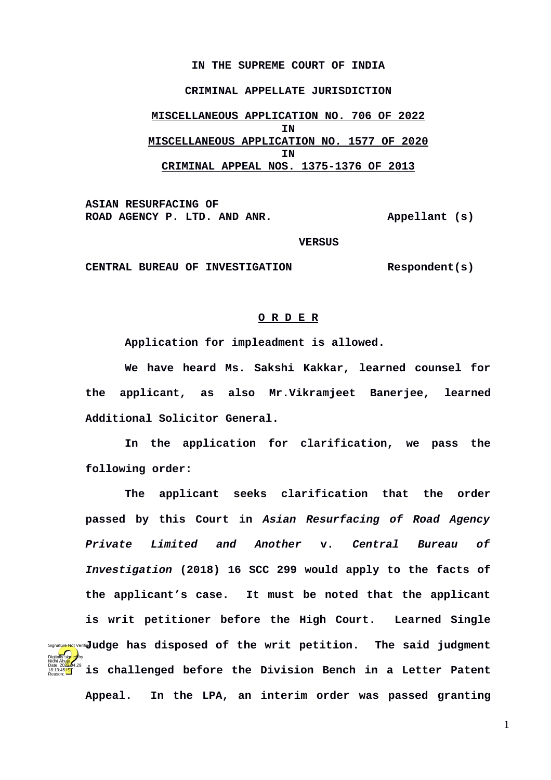## **IN THE SUPREME COURT OF INDIA**

## **CRIMINAL APPELLATE JURISDICTION**

**MISCELLANEOUS APPLICATION NO. 706 OF 2022 IN MISCELLANEOUS APPLICATION NO. 1577 OF 2020 IN CRIMINAL APPEAL NOS. 1375-1376 OF 2013**

**ASIAN RESURFACING OF**  ROAD AGENCY P. LTD. AND ANR. Appellant (s)

 **VERSUS**

**CENTRAL BUREAU OF INVESTIGATION Respondent(s)**

Nidhi Ahuja

18:13:45<sup>1S</sup> Reason:

## **O R D E R**

**Application for impleadment is allowed.**

**We have heard Ms. Sakshi Kakkar, learned counsel for the applicant, as also Mr.Vikramjeet Banerjee, learned Additional Solicitor General.**

**In the application for clarification, we pass the following order:** 

**The applicant seeks clarification that the order passed by this Court in** *Asian Resurfacing of Road Agency Private Limited and Another* **v.** *Central Bureau of Investigation* **(2018) 16 SCC 299 would apply to the facts of the applicant's case. It must be noted that the applicant is writ petitioner before the High Court. Learned Single Signature Not Verifie<b>d Uci (5)** and **groups** has disposed of the writ petition. The said judgment **is challenged before the Division Bench in a Letter Patent Appeal. In the LPA, an interim order was passed granting** Digitally signed by Date: 2022.04.29

1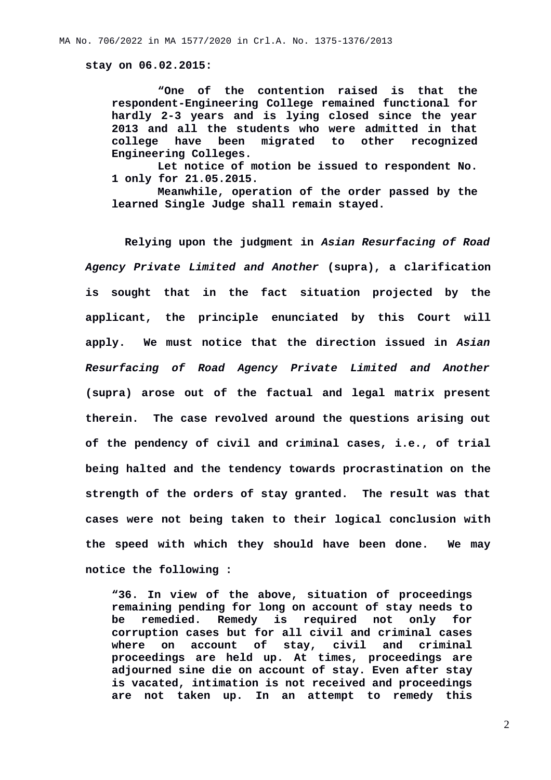**stay on 06.02.2015:**

**"One of the contention raised is that the respondent-Engineering College remained functional for hardly 2-3 years and is lying closed since the year 2013 and all the students who were admitted in that college have been migrated to other recognized Engineering Colleges.**

**Let notice of motion be issued to respondent No. 1 only for 21.05.2015.**

**Meanwhile, operation of the order passed by the learned Single Judge shall remain stayed.**

**Relying upon the judgment in** *Asian Resurfacing of Road Agency Private Limited and Another* **(supra), a clarification is sought that in the fact situation projected by the applicant, the principle enunciated by this Court will apply. We must notice that the direction issued in** *Asian Resurfacing of Road Agency Private Limited and Another* **(supra) arose out of the factual and legal matrix present therein. The case revolved around the questions arising out of the pendency of civil and criminal cases, i.e., of trial being halted and the tendency towards procrastination on the strength of the orders of stay granted. The result was that cases were not being taken to their logical conclusion with the speed with which they should have been done. We may notice the following :**

**"36. In view of the above, situation of proceedings remaining pending for long on account of stay needs to be remedied. Remedy is required not only for corruption cases but for all civil and criminal cases where on account of stay, civil and criminal proceedings are held up. At times, proceedings are adjourned sine die on account of stay. Even after stay is vacated, intimation is not received and proceedings are not taken up. In an attempt to remedy this**

2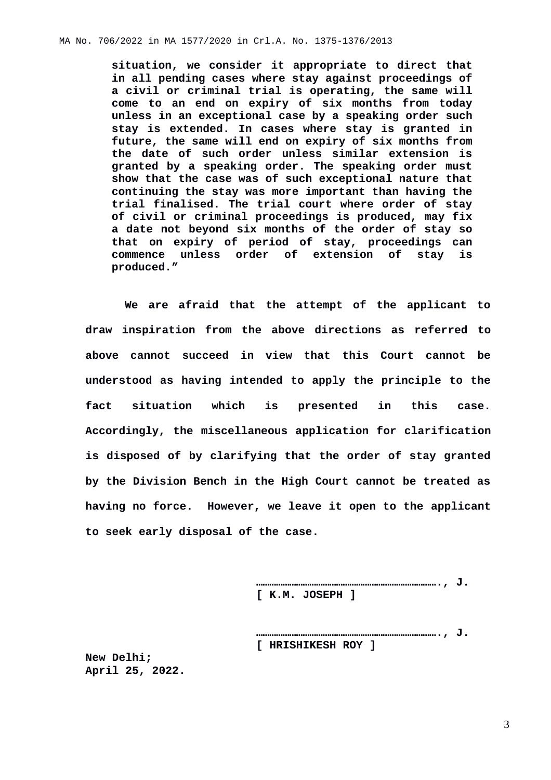**situation, we consider it appropriate to direct that in all pending cases where stay against proceedings of a civil or criminal trial is operating, the same will come to an end on expiry of six months from today unless in an exceptional case by a speaking order such stay is extended. In cases where stay is granted in future, the same will end on expiry of six months from the date of such order unless similar extension is granted by a speaking order. The speaking order must show that the case was of such exceptional nature that continuing the stay was more important than having the trial finalised. The trial court where order of stay of civil or criminal proceedings is produced, may fix a date not beyond six months of the order of stay so that on expiry of period of stay, proceedings can commence unless order of extension of stay is produced."**

**We are afraid that the attempt of the applicant to draw inspiration from the above directions as referred to above cannot succeed in view that this Court cannot be understood as having intended to apply the principle to the fact situation which is presented in this case. Accordingly, the miscellaneous application for clarification is disposed of by clarifying that the order of stay granted by the Division Bench in the High Court cannot be treated as having no force. However, we leave it open to the applicant to seek early disposal of the case.**

> **………………………………………………………………………., J. [ K.M. JOSEPH ]**

> **………………………………………………………………………., J. [ HRISHIKESH ROY ]**

**New Delhi; April 25, 2022.**

3